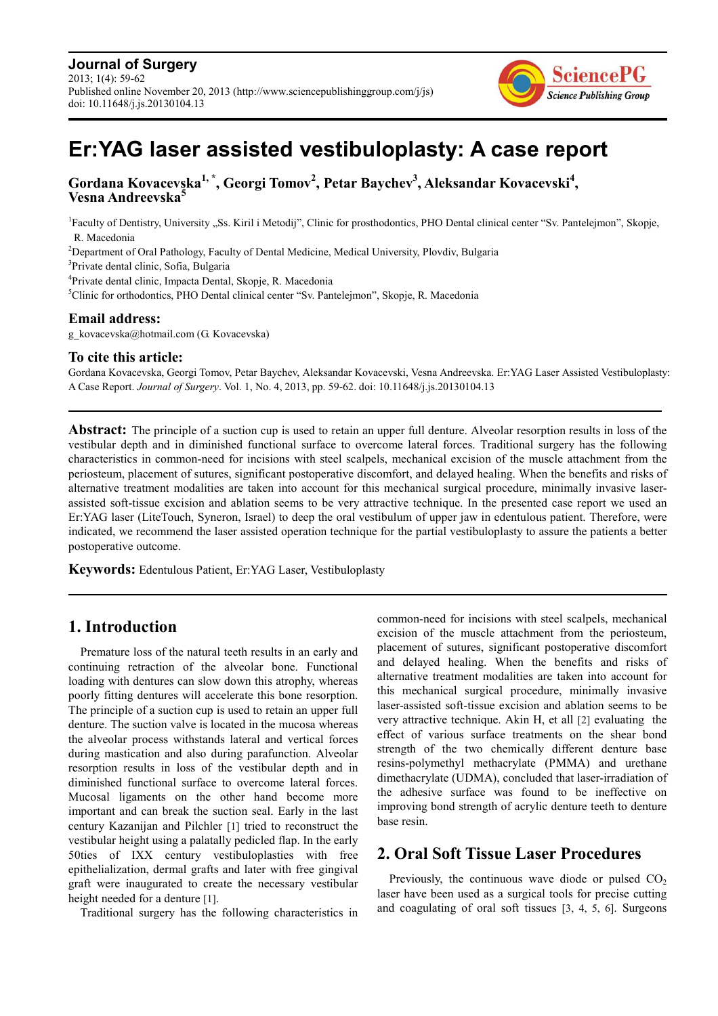

# **Er:YAG laser assisted vestibuloplasty: A case report**

**Gordana Kovacevska1, \*, Georgi Tomov<sup>2</sup> , Petar Baychev<sup>3</sup> , Aleksandar Kovacevski<sup>4</sup> , Vesna Andreevska<sup>5</sup>**

<sup>1</sup>Faculty of Dentistry, University "Ss. Kiril i Metodij", Clinic for prosthodontics, PHO Dental clinical center "Sv. Pantelejmon", Skopje, R. Macedonia

<sup>2</sup>Department of Oral Pathology, Faculty of Dental Medicine, Medical University, Plovdiv, Bulgaria

3 Private dental clinic, Sofia, Bulgaria

4 Private dental clinic, Impacta Dental, Skopje, R. Macedonia

<sup>5</sup>Clinic for orthodontics, PHO Dental clinical center "Sv. Pantelejmon", Skopje, R. Macedonia

#### **Email address:**

g\_kovacevska@hotmail.com (G. Kovacevska)

#### **To cite this article:**

Gordana Kovacevska, Georgi Tomov, Petar Baychev, Aleksandar Kovacevski, Vesna Andreevska. Er:YAG Laser Assisted Vestibuloplasty: A Case Report. *Journal of Surgery*. Vol. 1, No. 4, 2013, pp. 59-62. doi: 10.11648/j.js.20130104.13

**Abstract:** The principle of a suction cup is used to retain an upper full denture. Alveolar resorption results in loss of the vestibular depth and in diminished functional surface to overcome lateral forces. Traditional surgery has the following characteristics in common-need for incisions with steel scalpels, mechanical excision of the muscle attachment from the periosteum, placement of sutures, significant postoperative discomfort, and delayed healing. When the benefits and risks of alternative treatment modalities are taken into account for this mechanical surgical procedure, minimally invasive laserassisted soft-tissue excision and ablation seems to be very attractive technique. In the presented case report we used an Er:YAG laser (LiteTouch, Syneron, Israel) to deep the oral vestibulum of upper jaw in edentulous patient. Therefore, were indicated, we recommend the laser assisted operation technique for the partial vestibuloplasty to assure the patients a better postoperative outcome.

**Keywords:** Edentulous Patient, Er:YAG Laser, Vestibuloplasty

# **1. Introduction**

Premature loss of the natural teeth results in an early and continuing retraction of the alveolar bone. Functional loading with dentures can slow down this atrophy, whereas poorly fitting dentures will accelerate this bone resorption. The principle of a suction cup is used to retain an upper full denture. The suction valve is located in the mucosa whereas the alveolar process withstands lateral and vertical forces during mastication and also during parafunction. Alveolar resorption results in loss of the vestibular depth and in diminished functional surface to overcome lateral forces. Mucosal ligaments on the other hand become more important and can break the suction seal. Early in the last century Kazanijan and Pilchler [1] tried to reconstruct the vestibular height using a palatally pedicled flap. In the early 50ties of IXX century vestibuloplasties with free epithelialization, dermal grafts and later with free gingival graft were inaugurated to create the necessary vestibular height needed for a denture [1].

Traditional surgery has the following characteristics in

common-need for incisions with steel scalpels, mechanical excision of the muscle attachment from the periosteum, placement of sutures, significant postoperative discomfort and delayed healing. When the benefits and risks of alternative treatment modalities are taken into account for this mechanical surgical procedure, minimally invasive laser-assisted soft-tissue excision and ablation seems to be very attractive technique. Akin H, et all [2] evaluating the effect of various surface treatments on the shear bond strength of the two chemically different denture base resins-polymethyl methacrylate (PMMA) and urethane dimethacrylate (UDMA), concluded that laser-irradiation of the adhesive surface was found to be ineffective on improving bond strength of acrylic denture teeth to denture base resin.

## **2. Oral Soft Tissue Laser Procedures**

Previously, the continuous wave diode or pulsed  $CO<sub>2</sub>$ laser have been used as a surgical tools for precise cutting and coagulating of oral soft tissues [3, 4, 5, 6]. Surgeons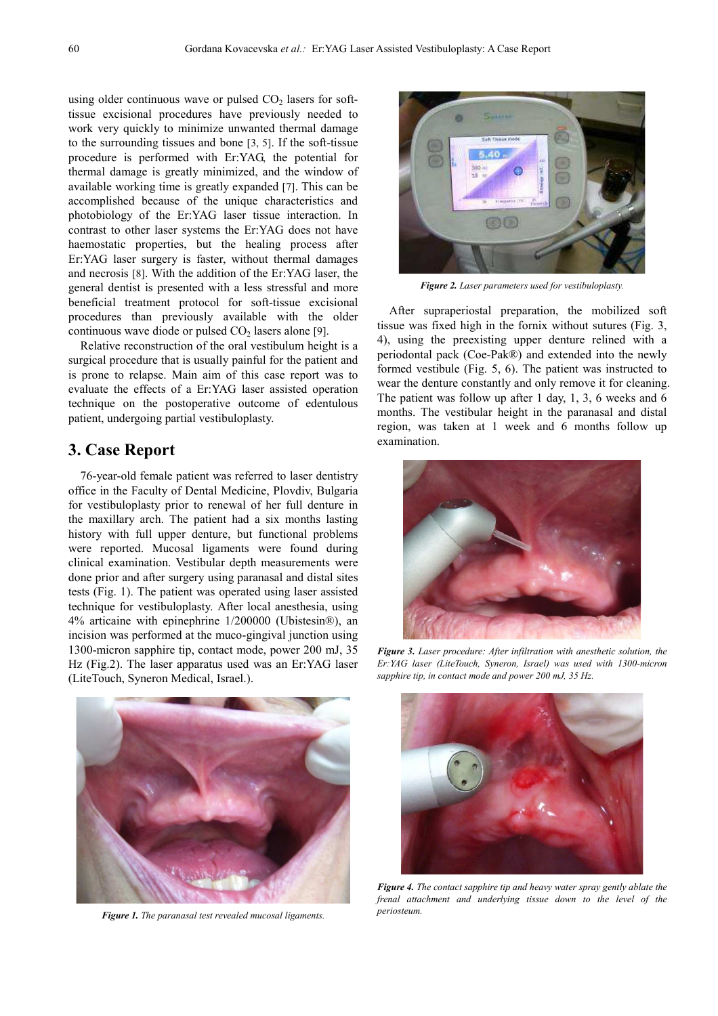using older continuous wave or pulsed  $CO<sub>2</sub>$  lasers for softtissue excisional procedures have previously needed to work very quickly to minimize unwanted thermal damage to the surrounding tissues and bone [3, 5]. If the soft-tissue procedure is performed with Er:YAG, the potential for thermal damage is greatly minimized, and the window of available working time is greatly expanded [7]. This can be accomplished because of the unique characteristics and photobiology of the Er:YAG laser tissue interaction. In contrast to other laser systems the Er:YAG does not have haemostatic properties, but the healing process after Er:YAG laser surgery is faster, without thermal damages and necrosis [8]. With the addition of the Er:YAG laser, the general dentist is presented with a less stressful and more beneficial treatment protocol for soft-tissue excisional procedures than previously available with the older continuous wave diode or pulsed  $CO<sub>2</sub>$  lasers alone [9].

Relative reconstruction of the oral vestibulum height is a surgical procedure that is usually painful for the patient and is prone to relapse. Main aim of this case report was to evaluate the effects of a Er:YAG laser assisted operation technique on the postoperative outcome of edentulous patient, undergoing partial vestibuloplasty.

#### **3. Case Report**

76-year-old female patient was referred to laser dentistry office in the Faculty of Dental Medicine, Plovdiv, Bulgaria for vestibuloplasty prior to renewal of her full denture in the maxillary arch. The patient had a six months lasting history with full upper denture, but functional problems were reported. Mucosal ligaments were found during clinical examination. Vestibular depth measurements were done prior and after surgery using paranasal and distal sites tests (Fig. 1). The patient was operated using laser assisted technique for vestibuloplasty. After local anesthesia, using 4% articaine with epinephrine 1/200000 (Ubistesin®), an incision was performed at the muco-gingival junction using 1300-micron sapphire tip, contact mode, power 200 mJ, 35 Hz (Fig.2). The laser apparatus used was an Er:YAG laser (LiteTouch, Syneron Medical, Israel.).



*Figure 1. The paranasal test revealed mucosal ligaments.* 



*Figure 2. Laser parameters used for vestibuloplasty.* 

After supraperiostal preparation, the mobilized soft tissue was fixed high in the fornix without sutures (Fig. 3, 4), using the preexisting upper denture relined with a periodontal pack (Coe-Pak®) and extended into the newly formed vestibule (Fig. 5, 6). The patient was instructed to wear the denture constantly and only remove it for cleaning. The patient was follow up after 1 day, 1, 3, 6 weeks and 6 months. The vestibular height in the paranasal and distal region, was taken at 1 week and 6 months follow up examination.



*Figure 3. Laser procedure: After infiltration with anesthetic solution, the Er:YAG laser (LiteTouch, Syneron, Israel) was used with 1300-micron sapphire tip, in contact mode and power 200 mJ, 35 Hz.* 



*Figure 4. The contact sapphire tip and heavy water spray gently ablate the frenal attachment and underlying tissue down to the level of the periosteum.*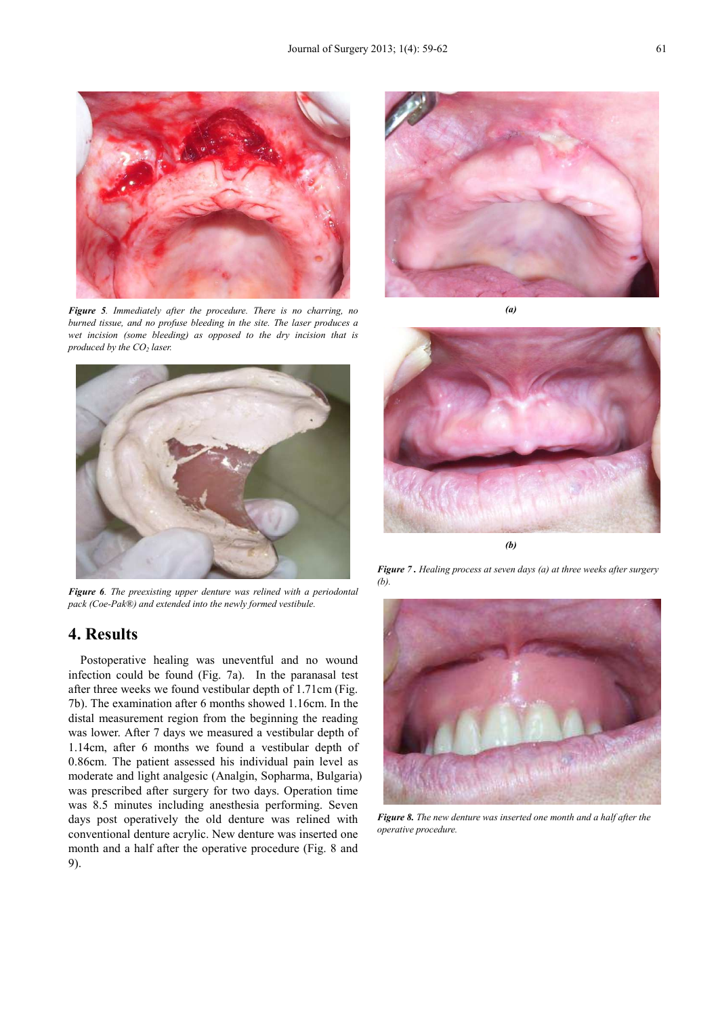

*Figure 5. Immediately after the procedure. There is no charring, no burned tissue, and no profuse bleeding in the site. The laser produces a wet incision (some bleeding) as opposed to the dry incision that is produced by the CO2 laser.* 



*Figure 6. The preexisting upper denture was relined with a periodontal pack (Coe-Pak®) and extended into the newly formed vestibule.* 

## **4. Results**

Postoperative healing was uneventful and no wound infection could be found (Fig. 7a). In the paranasal test after three weeks we found vestibular depth of 1.71cm (Fig. 7b). The examination after 6 months showed 1.16cm. In the distal measurement region from the beginning the reading was lower. After 7 days we measured a vestibular depth of 1.14cm, after 6 months we found a vestibular depth of 0.86cm. The patient assessed his individual pain level as moderate and light analgesic (Analgin, Sopharma, Bulgaria) was prescribed after surgery for two days. Operation time was 8.5 minutes including anesthesia performing. Seven days post operatively the old denture was relined with conventional denture acrylic. New denture was inserted one month and a half after the operative procedure (Fig. 8 and 9).



*(a)* 



*Figure 7 . Healing process at seven days (a) at three weeks after surgery (b).* 



*Figure 8. The new denture was inserted one month and a half after the operative procedure.*